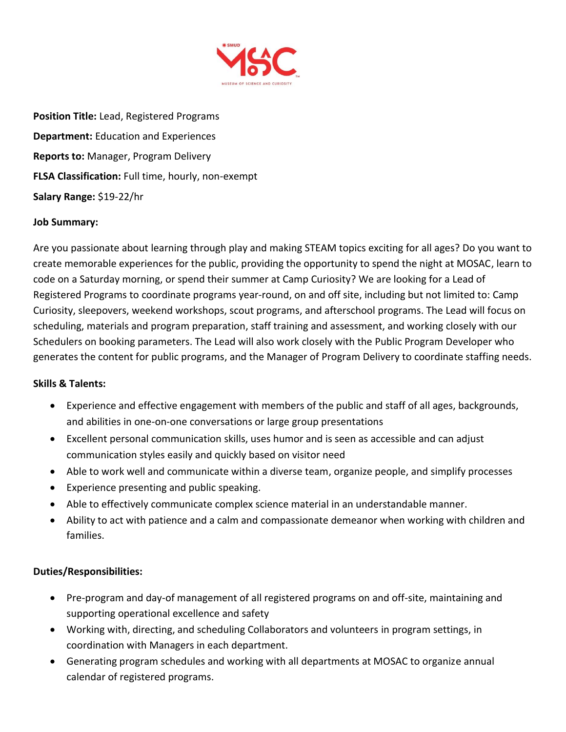

**Position Title:** Lead, Registered Programs **Department:** Education and Experiences **Reports to:** Manager, Program Delivery **FLSA Classification:** Full time, hourly, non-exempt **Salary Range:** \$19-22/hr

## **Job Summary:**

Are you passionate about learning through play and making STEAM topics exciting for all ages? Do you want to create memorable experiences for the public, providing the opportunity to spend the night at MOSAC, learn to code on a Saturday morning, or spend their summer at Camp Curiosity? We are looking for a Lead of Registered Programs to coordinate programs year-round, on and off site, including but not limited to: Camp Curiosity, sleepovers, weekend workshops, scout programs, and afterschool programs. The Lead will focus on scheduling, materials and program preparation, staff training and assessment, and working closely with our Schedulers on booking parameters. The Lead will also work closely with the Public Program Developer who generates the content for public programs, and the Manager of Program Delivery to coordinate staffing needs.

## **Skills & Talents:**

- Experience and effective engagement with members of the public and staff of all ages, backgrounds, and abilities in one-on-one conversations or large group presentations
- Excellent personal communication skills, uses humor and is seen as accessible and can adjust communication styles easily and quickly based on visitor need
- Able to work well and communicate within a diverse team, organize people, and simplify processes
- Experience presenting and public speaking.
- Able to effectively communicate complex science material in an understandable manner.
- Ability to act with patience and a calm and compassionate demeanor when working with children and families.

## **Duties/Responsibilities:**

- Pre-program and day-of management of all registered programs on and off-site, maintaining and supporting operational excellence and safety
- Working with, directing, and scheduling Collaborators and volunteers in program settings, in coordination with Managers in each department.
- Generating program schedules and working with all departments at MOSAC to organize annual calendar of registered programs.